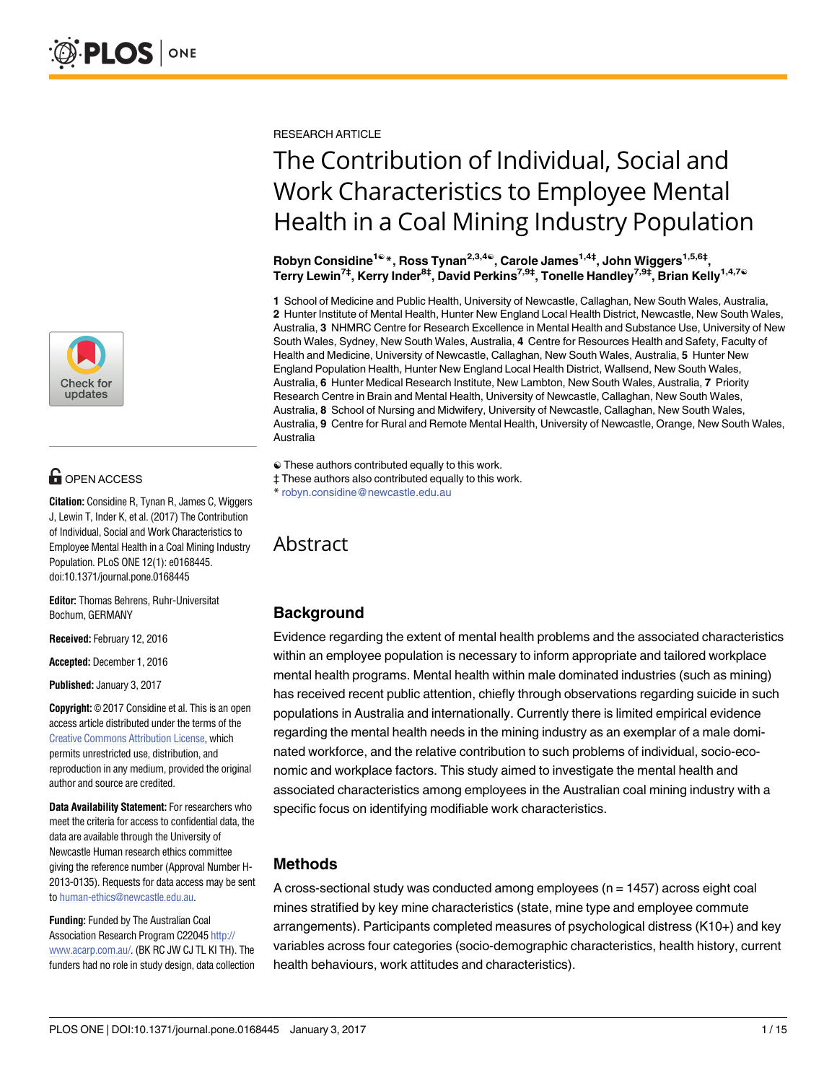

# **OPEN ACCESS**

**Citation:** Considine R, Tynan R, James C, Wiggers J, Lewin T, Inder K, et al. (2017) The Contribution of Individual, Social and Work Characteristics to Employee Mental Health in a Coal Mining Industry Population. PLoS ONE 12(1): e0168445. doi:10.1371/journal.pone.0168445

**Editor:** Thomas Behrens, Ruhr-Universitat Bochum, GERMANY

**Received:** February 12, 2016

**Accepted:** December 1, 2016

**Published:** January 3, 2017

**Copyright:** © 2017 Considine et al. This is an open access article distributed under the terms of the Creative Commons [Attribution](http://creativecommons.org/licenses/by/4.0/) License, which permits unrestricted use, distribution, and reproduction in any medium, provided the original author and source are credited.

**Data Availability Statement:** For researchers who meet the criteria for access to confidential data, the data are available through the University of Newcastle Human research ethics committee giving the reference number (Approval Number H-2013-0135). Requests for data access may be sent to [human-ethics@newcastle.edu.au.](mailto:human-ethics@newcastle.edu.au)

**Funding:** Funded by The Australian Coal Association Research Program C22045 [http://](http://www.acarp.com.au/) [www.acarp.com.au/](http://www.acarp.com.au/). (BK RC JW CJ TL KI TH). The funders had no role in study design, data collection RESEARCH ARTICLE

# The Contribution of Individual, Social and Work Characteristics to Employee Mental Health in a Coal Mining Industry Population

**Robyn Considine1**☯**\*, Ross Tynan2,3,4**☯**, Carole James1,4‡, John Wiggers1,5,6‡, Terry Lewin7‡, Kerry Inder8‡, David Perkins7,9‡, Tonelle Handley7,9‡, Brian Kelly1,4,7**☯

**1** School of Medicine and Public Health, University of Newcastle, Callaghan, New South Wales, Australia, **2** Hunter Institute of Mental Health, Hunter New England Local Health District, Newcastle, New South Wales, Australia, **3** NHMRC Centre for Research Excellence in Mental Health and Substance Use, University of New South Wales, Sydney, New South Wales, Australia, **4** Centre for Resources Health and Safety, Faculty of Health and Medicine, University of Newcastle, Callaghan, New South Wales, Australia, **5** Hunter New England Population Health, Hunter New England Local Health District, Wallsend, New South Wales, Australia, **6** Hunter Medical Research Institute, New Lambton, New South Wales, Australia, **7** Priority Research Centre in Brain and Mental Health, University of Newcastle, Callaghan, New South Wales, Australia, **8** School of Nursing and Midwifery, University of Newcastle, Callaghan, New South Wales, Australia, **9** Centre for Rural and Remote Mental Health, University of Newcastle, Orange, New South Wales, Australia

☯ These authors contributed equally to this work.

‡ These authors also contributed equally to this work.

# Abstract

# **Background**

Evidence regarding the extent of mental health problems and the associated characteristics within an employee population is necessary to inform appropriate and tailored workplace mental health programs. Mental health within male dominated industries (such as mining) has received recent public attention, chiefly through observations regarding suicide in such populations in Australia and internationally. Currently there is limited empirical evidence regarding the mental health needs in the mining industry as an exemplar of a male dominated workforce, and the relative contribution to such problems of individual, socio-economic and workplace factors. This study aimed to investigate the mental health and associated characteristics among employees in the Australian coal mining industry with a specific focus on identifying modifiable work characteristics.

# **Methods**

A cross-sectional study was conducted among employees ( $n = 1457$ ) across eight coal mines stratified by key mine characteristics (state, mine type and employee commute arrangements). Participants completed measures of psychological distress (K10+) and key variables across four categories (socio-demographic characteristics, health history, current health behaviours, work attitudes and characteristics).

<sup>\*</sup> robyn.considine@newcastle.edu.au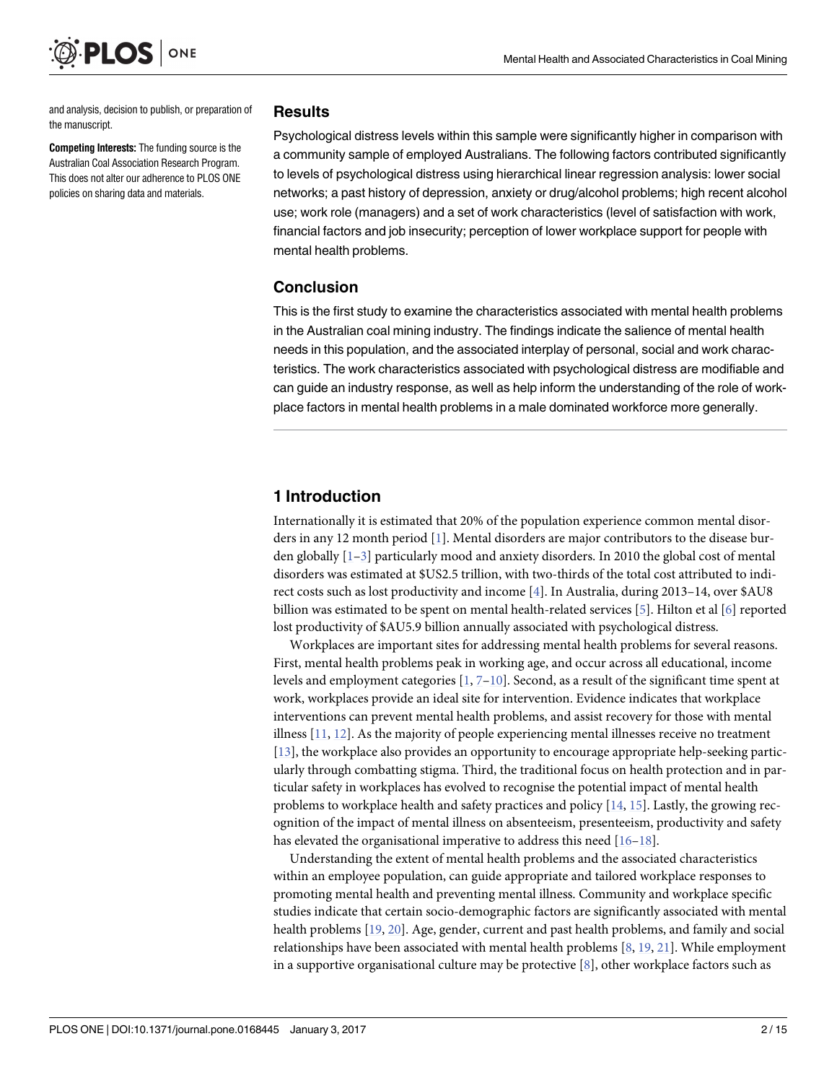<span id="page-1-0"></span>

and analysis, decision to publish, or preparation of the manuscript.

**Competing Interests:** The funding source is the Australian Coal Association Research Program. This does not alter our adherence to PLOS ONE policies on sharing data and materials.

#### **Results**

Psychological distress levels within this sample were significantly higher in comparison with a community sample of employed Australians. The following factors contributed significantly to levels of psychological distress using hierarchical linear regression analysis: lower social networks; a past history of depression, anxiety or drug/alcohol problems; high recent alcohol use; work role (managers) and a set of work characteristics (level of satisfaction with work, financial factors and job insecurity; perception of lower workplace support for people with mental health problems.

## **Conclusion**

This is the first study to examine the characteristics associated with mental health problems in the Australian coal mining industry. The findings indicate the salience of mental health needs in this population, and the associated interplay of personal, social and work characteristics. The work characteristics associated with psychological distress are modifiable and can guide an industry response, as well as help inform the understanding of the role of workplace factors in mental health problems in a male dominated workforce more generally.

# **1 Introduction**

Internationally it is estimated that 20% of the population experience common mental disorders in any 12 month period [[1](#page-12-0)]. Mental disorders are major contributors to the disease burden globally [[1–3\]](#page-12-0) particularly mood and anxiety disorders. In 2010 the global cost of mental disorders was estimated at \$US2.5 trillion, with two-thirds of the total cost attributed to indirect costs such as lost productivity and income [\[4](#page-12-0)]. In Australia, during 2013–14, over \$AU8 billion was estimated to be spent on mental health-related services [[5\]](#page-12-0). Hilton et al [[6\]](#page-12-0) reported lost productivity of \$AU5.9 billion annually associated with psychological distress.

Workplaces are important sites for addressing mental health problems for several reasons. First, mental health problems peak in working age, and occur across all educational, income levels and employment categories  $[1, 7-10]$  $[1, 7-10]$ . Second, as a result of the significant time spent at work, workplaces provide an ideal site for intervention. Evidence indicates that workplace interventions can prevent mental health problems, and assist recovery for those with mental illness  $[11, 12]$  $[11, 12]$  $[11, 12]$ . As the majority of people experiencing mental illnesses receive no treatment [\[13\]](#page-12-0), the workplace also provides an opportunity to encourage appropriate help-seeking particularly through combatting stigma. Third, the traditional focus on health protection and in particular safety in workplaces has evolved to recognise the potential impact of mental health problems to workplace health and safety practices and policy [[14](#page-12-0), [15](#page-12-0)]. Lastly, the growing recognition of the impact of mental illness on absenteeism, presenteeism, productivity and safety has elevated the organisational imperative to address this need [[16–18\]](#page-12-0).

Understanding the extent of mental health problems and the associated characteristics within an employee population, can guide appropriate and tailored workplace responses to promoting mental health and preventing mental illness. Community and workplace specific studies indicate that certain socio-demographic factors are significantly associated with mental health problems [[19](#page-12-0), [20](#page-12-0)]. Age, gender, current and past health problems, and family and social relationships have been associated with mental health problems [[8](#page-12-0), [19](#page-12-0), [21](#page-12-0)]. While employment in a supportive organisational culture may be protective  $[8]$ , other workplace factors such as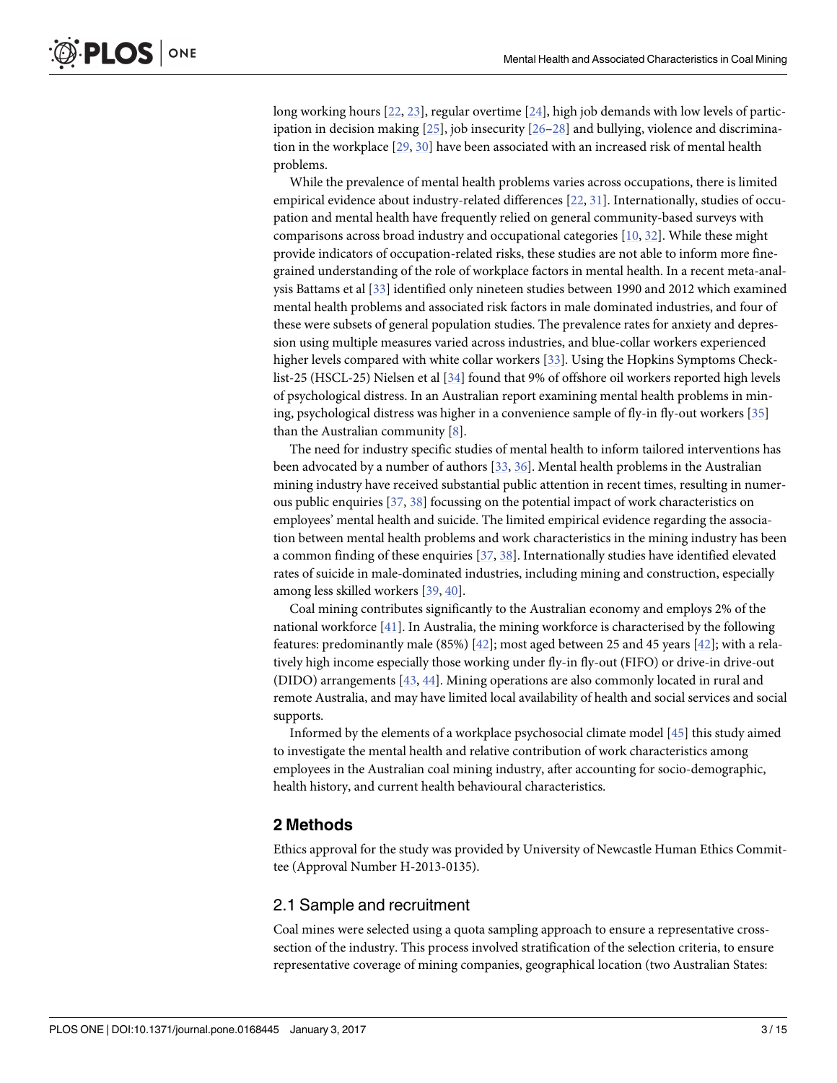<span id="page-2-0"></span>long working hours [\[22](#page-13-0), [23\]](#page-13-0), regular overtime [\[24\]](#page-13-0), high job demands with low levels of participation in decision making [\[25\]](#page-13-0), job insecurity [[26–28\]](#page-13-0) and bullying, violence and discrimination in the workplace [\[29,](#page-13-0) [30\]](#page-13-0) have been associated with an increased risk of mental health problems.

While the prevalence of mental health problems varies across occupations, there is limited empirical evidence about industry-related differences [[22](#page-13-0), [31\]](#page-13-0). Internationally, studies of occupation and mental health have frequently relied on general community-based surveys with comparisons across broad industry and occupational categories [[10](#page-12-0), [32](#page-13-0)]. While these might provide indicators of occupation-related risks, these studies are not able to inform more finegrained understanding of the role of workplace factors in mental health. In a recent meta-analysis Battams et al [[33](#page-13-0)] identified only nineteen studies between 1990 and 2012 which examined mental health problems and associated risk factors in male dominated industries, and four of these were subsets of general population studies. The prevalence rates for anxiety and depression using multiple measures varied across industries, and blue-collar workers experienced higher levels compared with white collar workers [[33](#page-13-0)]. Using the Hopkins Symptoms Checklist-25 (HSCL-25) Nielsen et al [[34](#page-13-0)] found that 9% of offshore oil workers reported high levels of psychological distress. In an Australian report examining mental health problems in mining, psychological distress was higher in a convenience sample of fly-in fly-out workers [\[35\]](#page-13-0) than the Australian community [\[8\]](#page-12-0).

The need for industry specific studies of mental health to inform tailored interventions has been advocated by a number of authors [\[33,](#page-13-0) [36\]](#page-13-0). Mental health problems in the Australian mining industry have received substantial public attention in recent times, resulting in numerous public enquiries [[37](#page-13-0), [38](#page-13-0)] focussing on the potential impact of work characteristics on employees' mental health and suicide. The limited empirical evidence regarding the association between mental health problems and work characteristics in the mining industry has been a common finding of these enquiries [[37](#page-13-0), [38](#page-13-0)]. Internationally studies have identified elevated rates of suicide in male-dominated industries, including mining and construction, especially among less skilled workers [[39](#page-13-0), [40](#page-13-0)].

Coal mining contributes significantly to the Australian economy and employs 2% of the national workforce [\[41\]](#page-13-0). In Australia, the mining workforce is characterised by the following features: predominantly male (85%) [\[42\]](#page-13-0); most aged between 25 and 45 years [[42](#page-13-0)]; with a relatively high income especially those working under fly-in fly-out (FIFO) or drive-in drive-out (DIDO) arrangements [\[43,](#page-13-0) [44\]](#page-13-0). Mining operations are also commonly located in rural and remote Australia, and may have limited local availability of health and social services and social supports.

Informed by the elements of a workplace psychosocial climate model [\[45\]](#page-14-0) this study aimed to investigate the mental health and relative contribution of work characteristics among employees in the Australian coal mining industry, after accounting for socio-demographic, health history, and current health behavioural characteristics.

# **2 Methods**

Ethics approval for the study was provided by University of Newcastle Human Ethics Committee (Approval Number H-2013-0135).

#### 2.1 Sample and recruitment

Coal mines were selected using a quota sampling approach to ensure a representative crosssection of the industry. This process involved stratification of the selection criteria, to ensure representative coverage of mining companies, geographical location (two Australian States: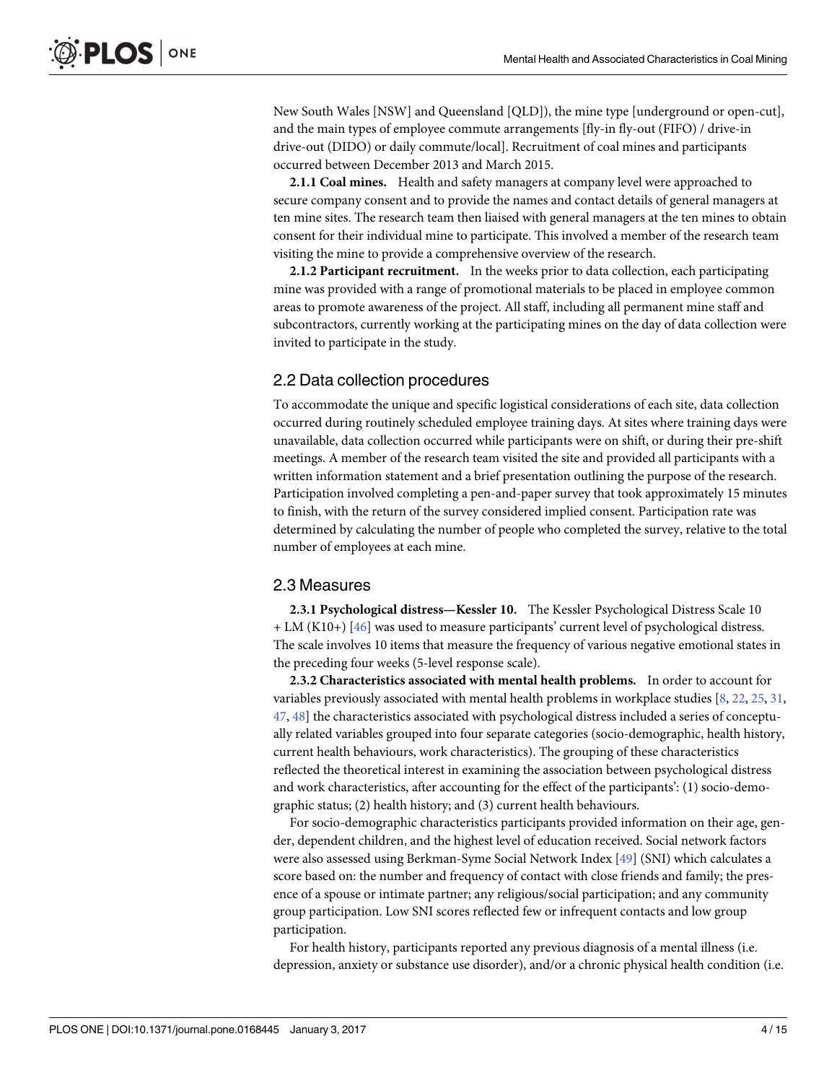<span id="page-3-0"></span>New South Wales [NSW] and Queensland [QLD]), the mine type [underground or open-cut], and the main types of employee commute arrangements [fly-in fly-out (FIFO) / drive-in drive-out (DIDO) or daily commute/local]. Recruitment of coal mines and participants occurred between December 2013 and March 2015.

**2.1.1 Coal mines.** Health and safety managers at company level were approached to secure company consent and to provide the names and contact details of general managers at ten mine sites. The research team then liaised with general managers at the ten mines to obtain consent for their individual mine to participate. This involved a member of the research team visiting the mine to provide a comprehensive overview of the research.

**2.1.2 Participant recruitment.** In the weeks prior to data collection, each participating mine was provided with a range of promotional materials to be placed in employee common areas to promote awareness of the project. All staff, including all permanent mine staff and subcontractors, currently working at the participating mines on the day of data collection were invited to participate in the study.

#### 2.2 Data collection procedures

To accommodate the unique and specific logistical considerations of each site, data collection occurred during routinely scheduled employee training days. At sites where training days were unavailable, data collection occurred while participants were on shift, or during their pre-shift meetings. A member of the research team visited the site and provided all participants with a written information statement and a brief presentation outlining the purpose of the research. Participation involved completing a pen-and-paper survey that took approximately 15 minutes to finish, with the return of the survey considered implied consent. Participation rate was determined by calculating the number of people who completed the survey, relative to the total number of employees at each mine.

## 2.3 Measures

**2.3.1 Psychological distress—Kessler 10.** The Kessler Psychological Distress Scale 10 + LM (K10+) [\[46](#page-14-0)] was used to measure participants' current level of psychological distress. The scale involves 10 items that measure the frequency of various negative emotional states in the preceding four weeks (5-level response scale).

**2.3.2 Characteristics associated with mental health problems.** In order to account for variables previously associated with mental health problems in workplace studies [[8](#page-12-0), [22](#page-13-0), [25](#page-13-0), [31](#page-13-0), [47,](#page-14-0) [48](#page-14-0)] the characteristics associated with psychological distress included a series of conceptually related variables grouped into four separate categories (socio-demographic, health history, current health behaviours, work characteristics). The grouping of these characteristics reflected the theoretical interest in examining the association between psychological distress and work characteristics, after accounting for the effect of the participants': (1) socio-demographic status; (2) health history; and (3) current health behaviours.

For socio-demographic characteristics participants provided information on their age, gender, dependent children, and the highest level of education received. Social network factors were also assessed using Berkman-Syme Social Network Index [\[49\]](#page-14-0) (SNI) which calculates a score based on: the number and frequency of contact with close friends and family; the presence of a spouse or intimate partner; any religious/social participation; and any community group participation. Low SNI scores reflected few or infrequent contacts and low group participation.

For health history, participants reported any previous diagnosis of a mental illness (i.e. depression, anxiety or substance use disorder), and/or a chronic physical health condition (i.e.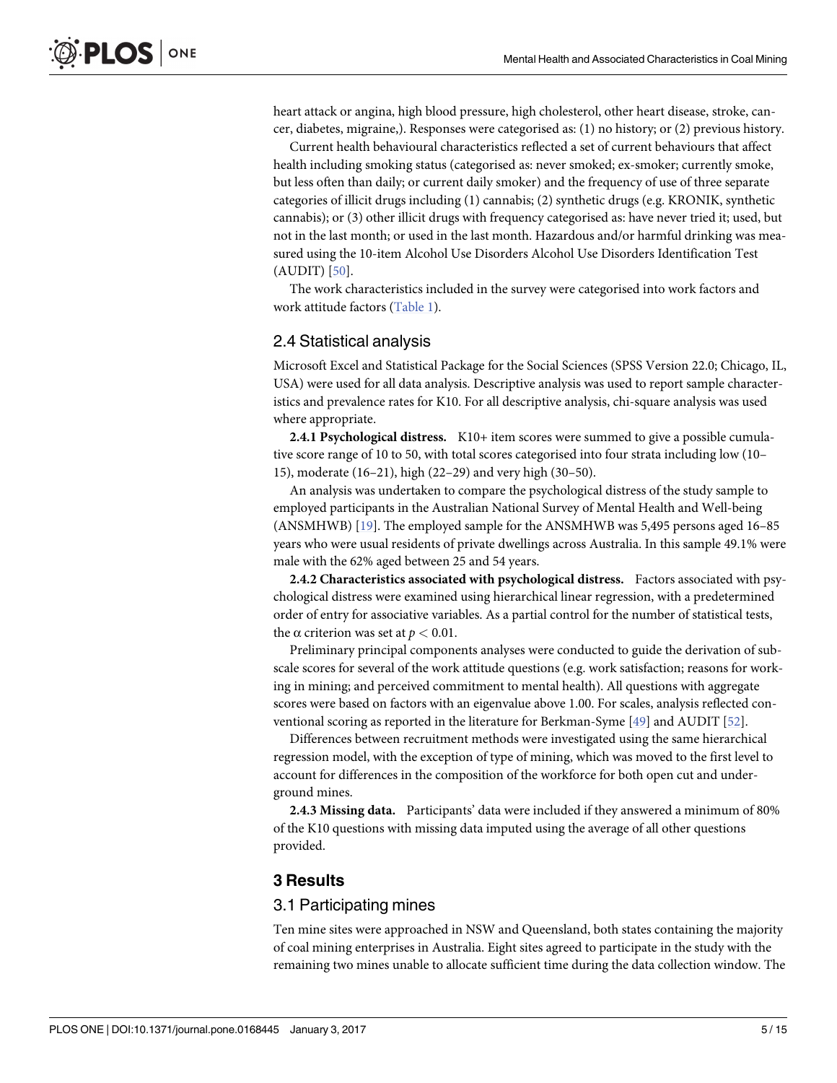<span id="page-4-0"></span>heart attack or angina, high blood pressure, high cholesterol, other heart disease, stroke, cancer, diabetes, migraine,). Responses were categorised as: (1) no history; or (2) previous history.

Current health behavioural characteristics reflected a set of current behaviours that affect health including smoking status (categorised as: never smoked; ex-smoker; currently smoke, but less often than daily; or current daily smoker) and the frequency of use of three separate categories of illicit drugs including (1) cannabis; (2) synthetic drugs (e.g. KRONIK, synthetic cannabis); or (3) other illicit drugs with frequency categorised as: have never tried it; used, but not in the last month; or used in the last month. Hazardous and/or harmful drinking was measured using the 10-item Alcohol Use Disorders Alcohol Use Disorders Identification Test (AUDIT) [\[50\]](#page-14-0).

The work characteristics included in the survey were categorised into work factors and work attitude factors [\(Table](#page-5-0) 1).

## 2.4 Statistical analysis

Microsoft Excel and Statistical Package for the Social Sciences (SPSS Version 22.0; Chicago, IL, USA) were used for all data analysis. Descriptive analysis was used to report sample characteristics and prevalence rates for K10. For all descriptive analysis, chi-square analysis was used where appropriate.

**2.4.1 Psychological distress.** K10+ item scores were summed to give a possible cumulative score range of 10 to 50, with total scores categorised into four strata including low (10– 15), moderate (16–21), high (22–29) and very high (30–50).

An analysis was undertaken to compare the psychological distress of the study sample to employed participants in the Australian National Survey of Mental Health and Well-being (ANSMHWB) [\[19\]](#page-12-0). The employed sample for the ANSMHWB was 5,495 persons aged 16–85 years who were usual residents of private dwellings across Australia. In this sample 49.1% were male with the 62% aged between 25 and 54 years.

**2.4.2 Characteristics associated with psychological distress.** Factors associated with psychological distress were examined using hierarchical linear regression, with a predetermined order of entry for associative variables. As a partial control for the number of statistical tests, the  $\alpha$  criterion was set at  $p < 0.01$ .

Preliminary principal components analyses were conducted to guide the derivation of subscale scores for several of the work attitude questions (e.g. work satisfaction; reasons for working in mining; and perceived commitment to mental health). All questions with aggregate scores were based on factors with an eigenvalue above 1.00. For scales, analysis reflected conventional scoring as reported in the literature for Berkman-Syme [\[49\]](#page-14-0) and AUDIT [\[52\]](#page-14-0).

Differences between recruitment methods were investigated using the same hierarchical regression model, with the exception of type of mining, which was moved to the first level to account for differences in the composition of the workforce for both open cut and underground mines.

**2.4.3 Missing data.** Participants' data were included if they answered a minimum of 80% of the K10 questions with missing data imputed using the average of all other questions provided.

# **3 Results**

## 3.1 Participating mines

Ten mine sites were approached in NSW and Queensland, both states containing the majority of coal mining enterprises in Australia. Eight sites agreed to participate in the study with the remaining two mines unable to allocate sufficient time during the data collection window. The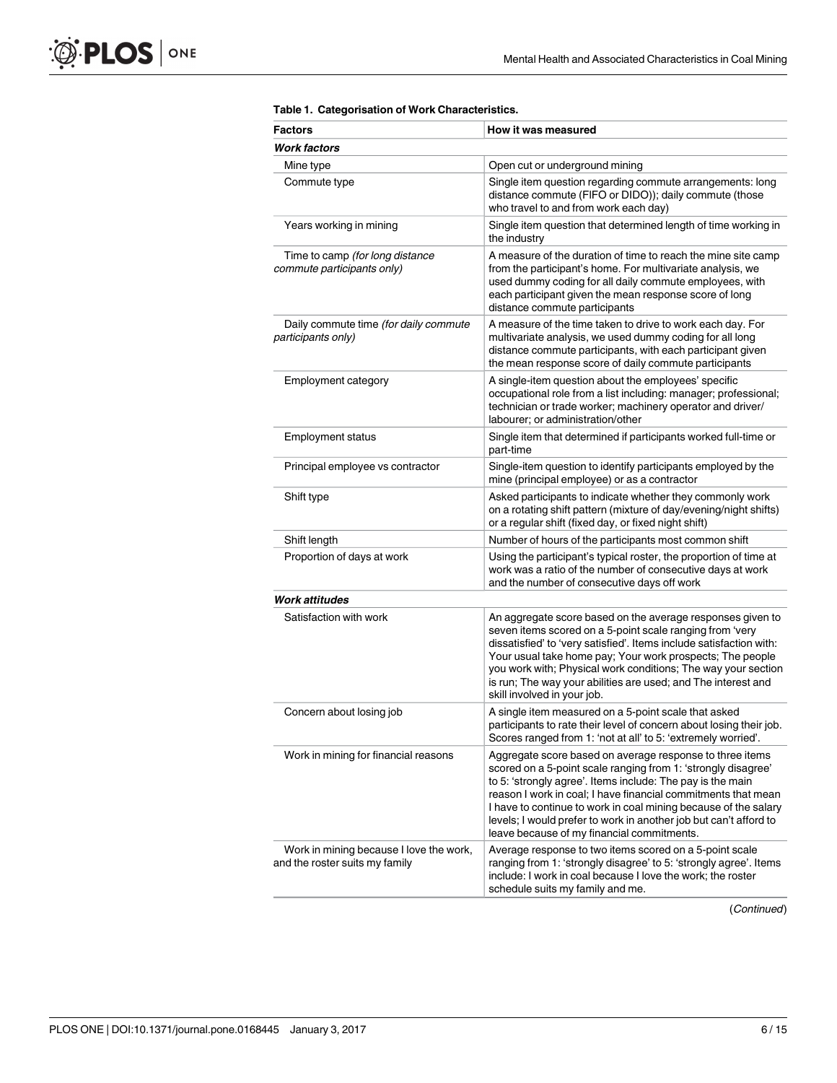<span id="page-5-0"></span>

| <b>Factors</b>                                                            | How it was measured                                                                                                                                                                                                                                                                                                                                                                                                                            |  |  |  |
|---------------------------------------------------------------------------|------------------------------------------------------------------------------------------------------------------------------------------------------------------------------------------------------------------------------------------------------------------------------------------------------------------------------------------------------------------------------------------------------------------------------------------------|--|--|--|
| <b>Work factors</b>                                                       |                                                                                                                                                                                                                                                                                                                                                                                                                                                |  |  |  |
| Mine type                                                                 | Open cut or underground mining                                                                                                                                                                                                                                                                                                                                                                                                                 |  |  |  |
| Commute type                                                              | Single item question regarding commute arrangements: long<br>distance commute (FIFO or DIDO)); daily commute (those<br>who travel to and from work each day)                                                                                                                                                                                                                                                                                   |  |  |  |
| Years working in mining                                                   | Single item question that determined length of time working in<br>the industry                                                                                                                                                                                                                                                                                                                                                                 |  |  |  |
| Time to camp (for long distance<br>commute participants only)             | A measure of the duration of time to reach the mine site camp<br>from the participant's home. For multivariate analysis, we<br>used dummy coding for all daily commute employees, with<br>each participant given the mean response score of long<br>distance commute participants                                                                                                                                                              |  |  |  |
| Daily commute time (for daily commute<br>participants only)               | A measure of the time taken to drive to work each day. For<br>multivariate analysis, we used dummy coding for all long<br>distance commute participants, with each participant given<br>the mean response score of daily commute participants                                                                                                                                                                                                  |  |  |  |
| <b>Employment category</b>                                                | A single-item question about the employees' specific<br>occupational role from a list including: manager; professional;<br>technician or trade worker; machinery operator and driver/<br>labourer; or administration/other                                                                                                                                                                                                                     |  |  |  |
| <b>Employment status</b>                                                  | Single item that determined if participants worked full-time or<br>part-time                                                                                                                                                                                                                                                                                                                                                                   |  |  |  |
| Principal employee vs contractor                                          | Single-item question to identify participants employed by the<br>mine (principal employee) or as a contractor                                                                                                                                                                                                                                                                                                                                  |  |  |  |
| Shift type                                                                | Asked participants to indicate whether they commonly work<br>on a rotating shift pattern (mixture of day/evening/night shifts)<br>or a regular shift (fixed day, or fixed night shift)                                                                                                                                                                                                                                                         |  |  |  |
| Shift length                                                              | Number of hours of the participants most common shift                                                                                                                                                                                                                                                                                                                                                                                          |  |  |  |
| Proportion of days at work                                                | Using the participant's typical roster, the proportion of time at<br>work was a ratio of the number of consecutive days at work<br>and the number of consecutive days off work                                                                                                                                                                                                                                                                 |  |  |  |
| <b>Work attitudes</b>                                                     |                                                                                                                                                                                                                                                                                                                                                                                                                                                |  |  |  |
| Satisfaction with work                                                    | An aggregate score based on the average responses given to<br>seven items scored on a 5-point scale ranging from 'very<br>dissatisfied' to 'very satisfied'. Items include satisfaction with:<br>Your usual take home pay; Your work prospects; The people<br>you work with; Physical work conditions; The way your section<br>is run; The way your abilities are used; and The interest and<br>skill involved in your job.                    |  |  |  |
| Concern about losing job                                                  | A single item measured on a 5-point scale that asked<br>participants to rate their level of concern about losing their job.<br>Scores ranged from 1: 'not at all' to 5: 'extremely worried'.                                                                                                                                                                                                                                                   |  |  |  |
| Work in mining for financial reasons                                      | Aggregate score based on average response to three items<br>scored on a 5-point scale ranging from 1: 'strongly disagree'<br>to 5: 'strongly agree'. Items include: The pay is the main<br>reason I work in coal; I have financial commitments that mean<br>I have to continue to work in coal mining because of the salary<br>levels; I would prefer to work in another job but can't afford to<br>leave because of my financial commitments. |  |  |  |
| Work in mining because I love the work,<br>and the roster suits my family | Average response to two items scored on a 5-point scale<br>ranging from 1: 'strongly disagree' to 5: 'strongly agree'. Items<br>include: I work in coal because I love the work; the roster<br>schedule suits my family and me.                                                                                                                                                                                                                |  |  |  |

(Continued)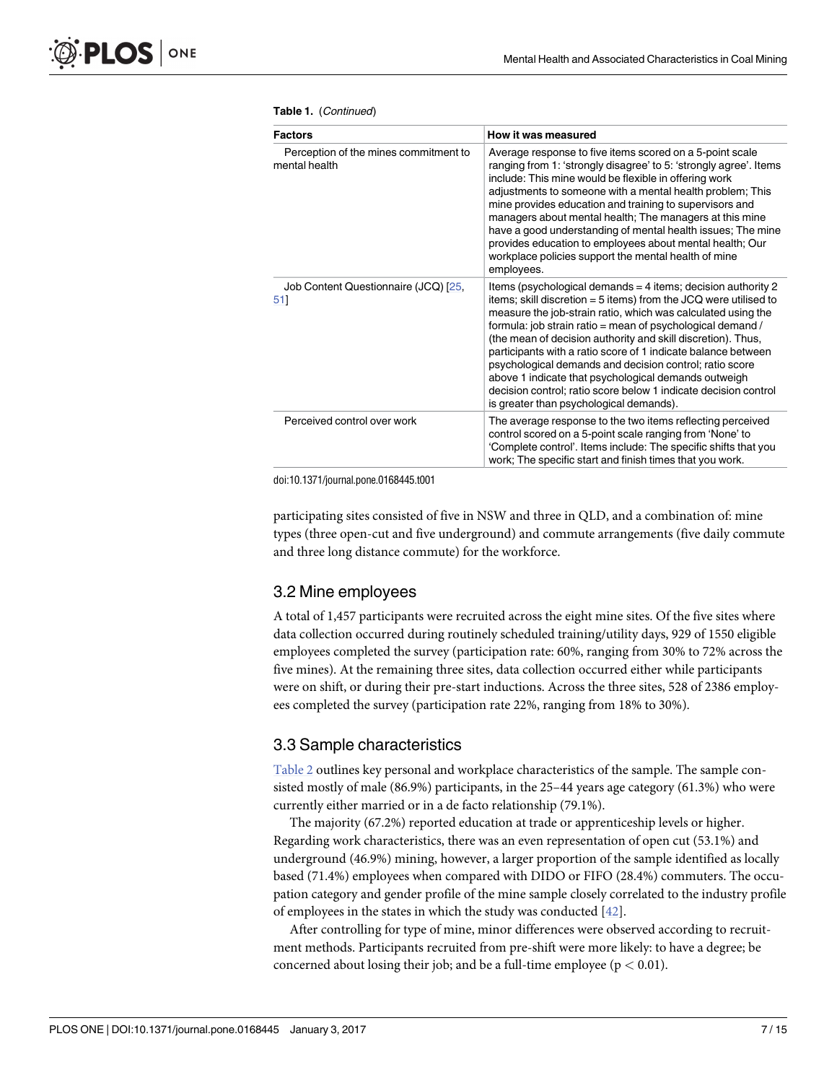| <b>Factors</b>                                         | How it was measured                                                                                                                                                                                                                                                                                                                                                                                                                                                                                                                                                                                                              |  |  |
|--------------------------------------------------------|----------------------------------------------------------------------------------------------------------------------------------------------------------------------------------------------------------------------------------------------------------------------------------------------------------------------------------------------------------------------------------------------------------------------------------------------------------------------------------------------------------------------------------------------------------------------------------------------------------------------------------|--|--|
| Perception of the mines commitment to<br>mental health | Average response to five items scored on a 5-point scale<br>ranging from 1: 'strongly disagree' to 5: 'strongly agree'. Items<br>include: This mine would be flexible in offering work<br>adjustments to someone with a mental health problem; This<br>mine provides education and training to supervisors and<br>managers about mental health; The managers at this mine<br>have a good understanding of mental health issues; The mine<br>provides education to employees about mental health; Our<br>workplace policies support the mental health of mine<br>employees.                                                       |  |  |
| Job Content Questionnaire (JCQ) [25,<br>51]            | Items (psychological demands = 4 items; decision authority 2<br>items; skill discretion = 5 items) from the JCQ were utilised to<br>measure the job-strain ratio, which was calculated using the<br>formula: job strain ratio = mean of psychological demand /<br>(the mean of decision authority and skill discretion). Thus,<br>participants with a ratio score of 1 indicate balance between<br>psychological demands and decision control; ratio score<br>above 1 indicate that psychological demands outweigh<br>decision control; ratio score below 1 indicate decision control<br>is greater than psychological demands). |  |  |
| Perceived control over work                            | The average response to the two items reflecting perceived<br>control scored on a 5-point scale ranging from 'None' to<br>'Complete control'. Items include: The specific shifts that you<br>work; The specific start and finish times that you work.                                                                                                                                                                                                                                                                                                                                                                            |  |  |

<span id="page-6-0"></span>**Table 1.** (Continued)

doi:10.1371/journal.pone.0168445.t001

participating sites consisted of five in NSW and three in QLD, and a combination of: mine types (three open-cut and five underground) and commute arrangements (five daily commute and three long distance commute) for the workforce.

#### 3.2 Mine employees

A total of 1,457 participants were recruited across the eight mine sites. Of the five sites where data collection occurred during routinely scheduled training/utility days, 929 of 1550 eligible employees completed the survey (participation rate: 60%, ranging from 30% to 72% across the five mines). At the remaining three sites, data collection occurred either while participants were on shift, or during their pre-start inductions. Across the three sites, 528 of 2386 employees completed the survey (participation rate 22%, ranging from 18% to 30%).

#### 3.3 Sample characteristics

[Table](#page-7-0) 2 outlines key personal and workplace characteristics of the sample. The sample consisted mostly of male (86.9%) participants, in the 25–44 years age category (61.3%) who were currently either married or in a de facto relationship (79.1%).

The majority (67.2%) reported education at trade or apprenticeship levels or higher. Regarding work characteristics, there was an even representation of open cut (53.1%) and underground (46.9%) mining, however, a larger proportion of the sample identified as locally based (71.4%) employees when compared with DIDO or FIFO (28.4%) commuters. The occupation category and gender profile of the mine sample closely correlated to the industry profile of employees in the states in which the study was conducted [\[42\]](#page-13-0).

After controlling for type of mine, minor differences were observed according to recruitment methods. Participants recruited from pre-shift were more likely: to have a degree; be concerned about losing their job; and be a full-time employee ( $p < 0.01$ ).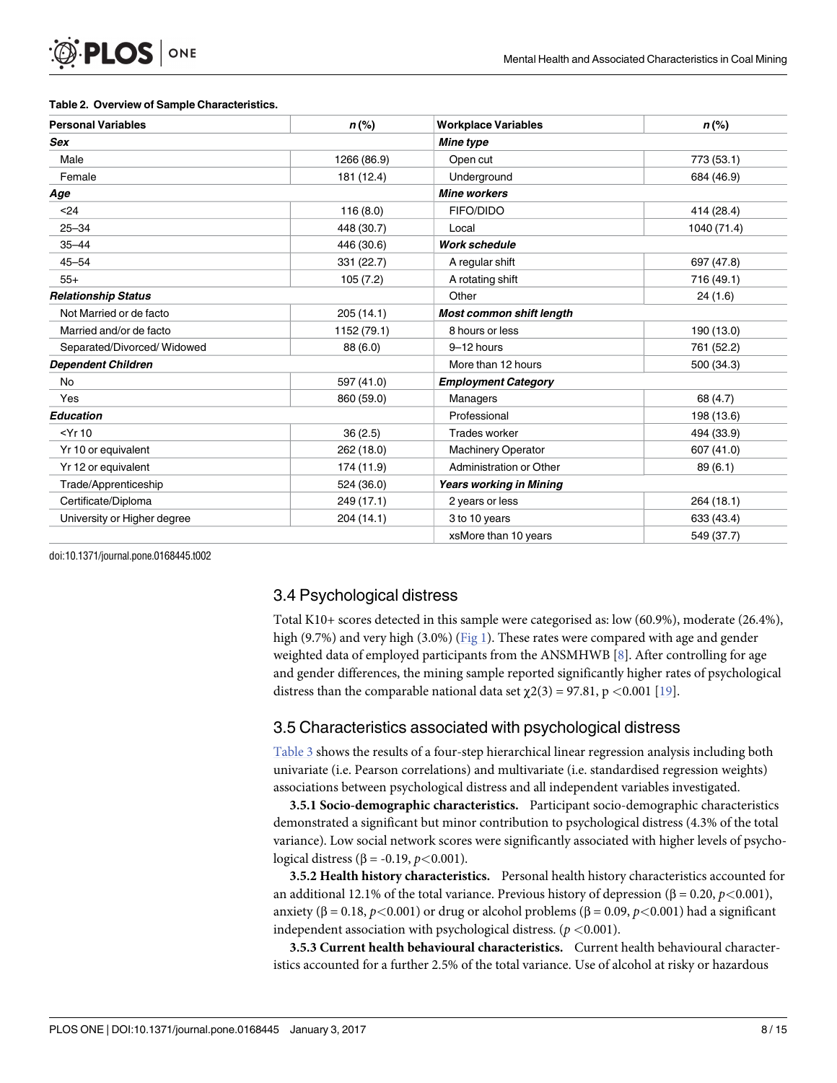<span id="page-7-0"></span>**[Table](#page-6-0) 2. Overview of Sample Characteristics.**

| <b>Personal Variables</b>   | $n$ (%)     | <b>Workplace Variables</b>              | $n$ (%)    |  |  |
|-----------------------------|-------------|-----------------------------------------|------------|--|--|
| <b>Sex</b>                  |             | Mine type                               |            |  |  |
| Male                        | 1266 (86.9) | 773 (53.1)<br>Open cut                  |            |  |  |
| Female                      | 181 (12.4)  | Underground                             | 684 (46.9) |  |  |
| Age                         |             | <b>Mine workers</b>                     |            |  |  |
| $24$                        | 116(8.0)    | FIFO/DIDO<br>414 (28.4)                 |            |  |  |
| $25 - 34$                   | 448 (30.7)  | 1040 (71.4)<br>Local                    |            |  |  |
| $35 - 44$                   | 446 (30.6)  | <b>Work schedule</b>                    |            |  |  |
| $45 - 54$                   | 331 (22.7)  | A regular shift<br>697 (47.8)           |            |  |  |
| $55+$                       | 105(7.2)    | A rotating shift                        | 716 (49.1) |  |  |
| <b>Relationship Status</b>  |             | Other                                   | 24 (1.6)   |  |  |
| Not Married or de facto     | 205(14.1)   | <b>Most common shift length</b>         |            |  |  |
| Married and/or de facto     | 1152 (79.1) | 8 hours or less                         | 190 (13.0) |  |  |
| Separated/Divorced/Widowed  | 88 (6.0)    | 9-12 hours                              | 761 (52.2) |  |  |
| <b>Dependent Children</b>   |             | More than 12 hours                      | 500 (34.3) |  |  |
| <b>No</b>                   | 597 (41.0)  | <b>Employment Category</b>              |            |  |  |
| Yes                         | 860 (59.0)  | Managers                                | 68 (4.7)   |  |  |
| <b>Education</b>            |             | Professional                            | 198 (13.6) |  |  |
| $<$ Yr 10                   | 36(2.5)     | 494 (33.9)<br><b>Trades worker</b>      |            |  |  |
| Yr 10 or equivalent         | 262 (18.0)  | <b>Machinery Operator</b><br>607 (41.0) |            |  |  |
| Yr 12 or equivalent         | 174 (11.9)  | Administration or Other                 | 89(6.1)    |  |  |
| Trade/Apprenticeship        | 524 (36.0)  | <b>Years working in Mining</b>          |            |  |  |
| Certificate/Diploma         | 249 (17.1)  | 264 (18.1)<br>2 years or less           |            |  |  |
| University or Higher degree | 204 (14.1)  | 3 to 10 years                           | 633 (43.4) |  |  |
|                             |             | xsMore than 10 years                    | 549 (37.7) |  |  |

doi:10.1371/journal.pone.0168445.t002

# 3.4 Psychological distress

Total K10+ scores detected in this sample were categorised as: low (60.9%), moderate (26.4%), high (9.7%) and very high (3.0%) ([Fig](#page-8-0) 1). These rates were compared with age and gender weighted data of employed participants from the ANSMHWB [\[8\]](#page-12-0). After controlling for age and gender differences, the mining sample reported significantly higher rates of psychological distress than the comparable national data set  $\chi$ 2(3) = 97.81, p < 0.001 [\[19\]](#page-12-0).

# 3.5 Characteristics associated with psychological distress

[Table](#page-9-0) 3 shows the results of a four-step hierarchical linear regression analysis including both univariate (i.e. Pearson correlations) and multivariate (i.e. standardised regression weights) associations between psychological distress and all independent variables investigated.

**3.5.1 Socio-demographic characteristics.** Participant socio-demographic characteristics demonstrated a significant but minor contribution to psychological distress (4.3% of the total variance). Low social network scores were significantly associated with higher levels of psychological distress ( $β = -0.19, p < 0.001$ ).

**3.5.2 Health history characteristics.** Personal health history characteristics accounted for an additional 12.1% of the total variance. Previous history of depression (β = 0.20, *p<*0.001), anxiety (β = 0.18, *p*<0.001) or drug or alcohol problems (β = 0.09, *p*<0.001) had a significant independent association with psychological distress. (*p <*0.001).

**3.5.3 Current health behavioural characteristics.** Current health behavioural characteristics accounted for a further 2.5% of the total variance. Use of alcohol at risky or hazardous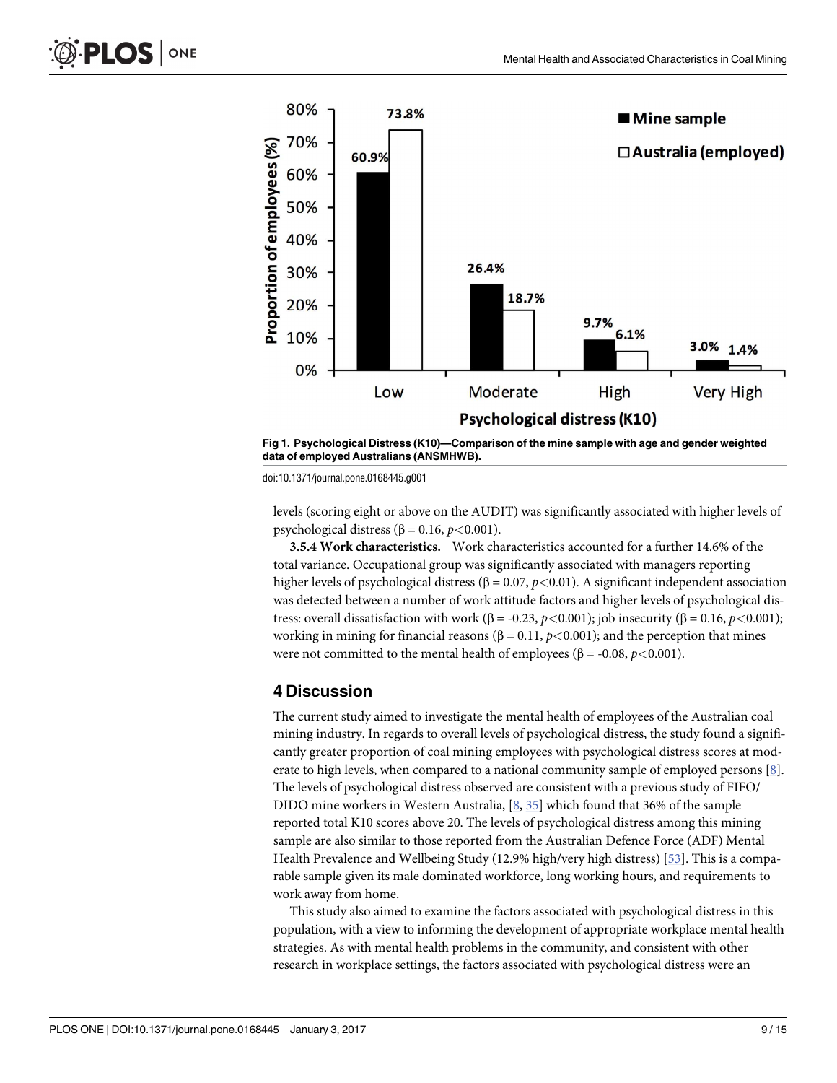<span id="page-8-0"></span>



doi:10.1371/journal.pone.0168445.g001

levels (scoring eight or above on the AUDIT) was significantly associated with higher levels of psychological distress (β = 0.16, *p<*0.001).

**3.5.4 Work characteristics.** Work characteristics accounted for a further 14.6% of the total variance. Occupational group was significantly associated with managers reporting higher levels of psychological distress (β = 0.07, *p<*0.01). A significant independent association was detected between a number of work attitude factors and higher levels of psychological distress: overall dissatisfaction with work (β = -0.23, *p<*0.001); job insecurity (β = 0.16, *p<*0.001); working in mining for financial reasons ( $β = 0.11, p < 0.001$ ); and the perception that mines were not committed to the mental health of employees ( $\beta$  = -0.08, *p*<0.001).

## **4 Discussion**

The current study aimed to investigate the mental health of employees of the Australian coal mining industry. In regards to overall levels of psychological distress, the study found a significantly greater proportion of coal mining employees with psychological distress scores at moderate to high levels, when compared to a national community sample of employed persons [\[8](#page-12-0)]. The levels of psychological distress observed are consistent with a previous study of FIFO/ DIDO mine workers in Western Australia, [\[8](#page-12-0), [35](#page-13-0)] which found that 36% of the sample reported total K10 scores above 20. The levels of psychological distress among this mining sample are also similar to those reported from the Australian Defence Force (ADF) Mental Health Prevalence and Wellbeing Study (12.9% high/very high distress) [[53](#page-14-0)]. This is a comparable sample given its male dominated workforce, long working hours, and requirements to work away from home.

This study also aimed to examine the factors associated with psychological distress in this population, with a view to informing the development of appropriate workplace mental health strategies. As with mental health problems in the community, and consistent with other research in workplace settings, the factors associated with psychological distress were an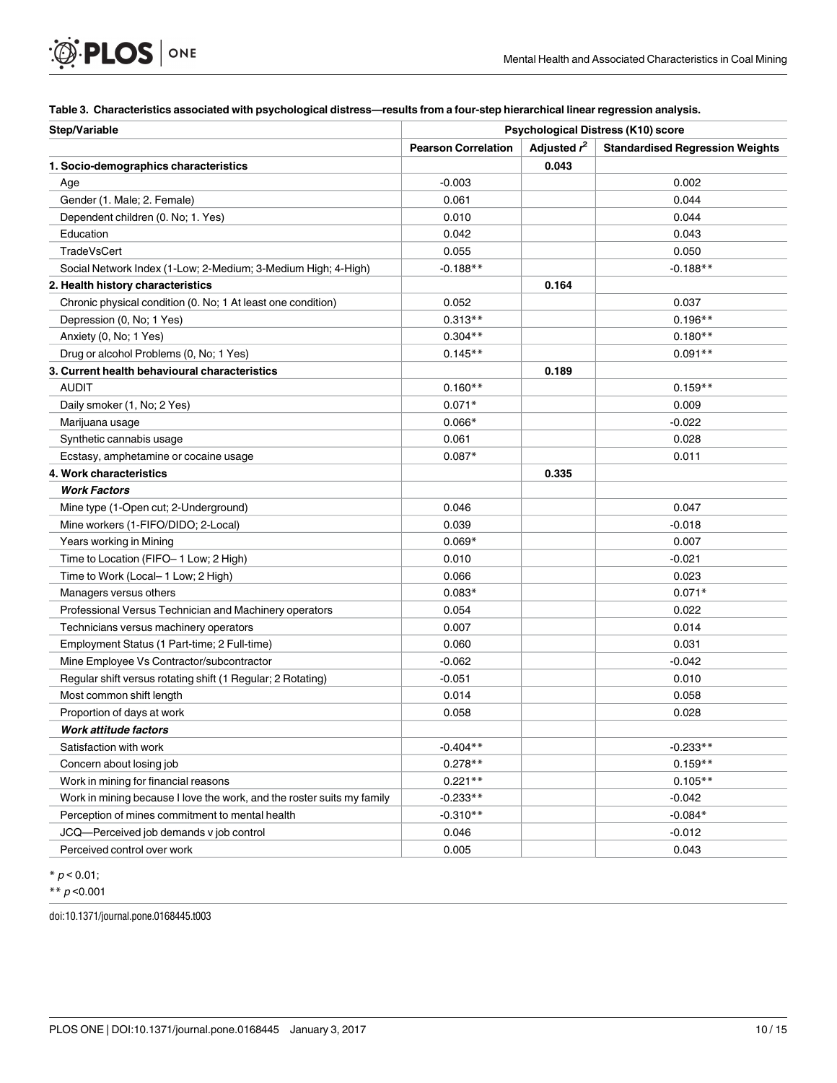#### [Table](#page-7-0) 3. Characteristics associated with psychological distress-results from a four-step hierarchical linear regression analysis.

| Step/Variable                                                          | <b>Psychological Distress (K10) score</b> |                |                                        |
|------------------------------------------------------------------------|-------------------------------------------|----------------|----------------------------------------|
|                                                                        | <b>Pearson Correlation</b>                | Adjusted $r^2$ | <b>Standardised Regression Weights</b> |
| 1. Socio-demographics characteristics                                  |                                           | 0.043          |                                        |
| Age                                                                    | $-0.003$                                  |                | 0.002                                  |
| Gender (1. Male; 2. Female)                                            | 0.061                                     |                | 0.044                                  |
| Dependent children (0. No; 1. Yes)                                     | 0.010                                     |                | 0.044                                  |
| Education                                                              | 0.042                                     |                | 0.043                                  |
| TradeVsCert                                                            | 0.055                                     |                | 0.050                                  |
| Social Network Index (1-Low; 2-Medium; 3-Medium High; 4-High)          | $-0.188**$                                |                | $-0.188**$                             |
| 2. Health history characteristics                                      |                                           | 0.164          |                                        |
| Chronic physical condition (0. No; 1 At least one condition)           | 0.052                                     |                | 0.037                                  |
| Depression (0, No; 1 Yes)                                              | $0.313**$                                 |                | $0.196**$                              |
| Anxiety (0, No; 1 Yes)                                                 | $0.304**$                                 |                | $0.180**$                              |
| Drug or alcohol Problems (0, No; 1 Yes)                                | $0.145**$                                 |                | $0.091**$                              |
| 3. Current health behavioural characteristics                          |                                           | 0.189          |                                        |
| <b>AUDIT</b>                                                           | $0.160**$                                 |                | $0.159**$                              |
| Daily smoker (1, No; 2 Yes)                                            | $0.071*$                                  |                | 0.009                                  |
| Marijuana usage                                                        | $0.066*$                                  |                | $-0.022$                               |
| Synthetic cannabis usage                                               | 0.061                                     |                | 0.028                                  |
| Ecstasy, amphetamine or cocaine usage                                  | $0.087*$                                  |                | 0.011                                  |
| 4. Work characteristics                                                |                                           | 0.335          |                                        |
| <b>Work Factors</b>                                                    |                                           |                |                                        |
| Mine type (1-Open cut; 2-Underground)                                  | 0.046                                     |                | 0.047                                  |
| Mine workers (1-FIFO/DIDO; 2-Local)                                    | 0.039                                     |                | $-0.018$                               |
| Years working in Mining                                                | $0.069*$                                  |                | 0.007                                  |
| Time to Location (FIFO-1 Low; 2 High)                                  | 0.010                                     |                | $-0.021$                               |
| Time to Work (Local- 1 Low; 2 High)                                    | 0.066                                     |                | 0.023                                  |
| Managers versus others                                                 | $0.083*$                                  |                | $0.071*$                               |
| Professional Versus Technician and Machinery operators                 | 0.054                                     |                | 0.022                                  |
| Technicians versus machinery operators                                 | 0.007                                     |                | 0.014                                  |
| Employment Status (1 Part-time; 2 Full-time)                           | 0.060                                     |                | 0.031                                  |
| Mine Employee Vs Contractor/subcontractor                              | $-0.062$                                  |                | $-0.042$                               |
| Regular shift versus rotating shift (1 Regular; 2 Rotating)            | $-0.051$                                  |                | 0.010                                  |
| Most common shift length                                               | 0.014                                     |                | 0.058                                  |
| Proportion of days at work                                             | 0.058                                     |                | 0.028                                  |
| Work attitude factors                                                  |                                           |                |                                        |
| Satisfaction with work                                                 | $-0.404**$                                |                | $-0.233**$                             |
| Concern about losing job                                               | $0.278**$                                 |                | $0.159**$                              |
| Work in mining for financial reasons                                   | $0.221**$                                 |                | $0.105**$                              |
| Work in mining because I love the work, and the roster suits my family | $-0.233**$                                |                | $-0.042$                               |
| Perception of mines commitment to mental health                        | $-0.310**$                                |                | $-0.084*$                              |
| JCQ-Perceived job demands v job control                                | 0.046                                     |                | $-0.012$                               |
| Perceived control over work                                            | 0.005                                     |                | 0.043                                  |

 $* p < 0.01;$ 

\*\* p <0.001

doi:10.1371/journal.pone.0168445.t003

<span id="page-9-0"></span>**OF PLOS** ONE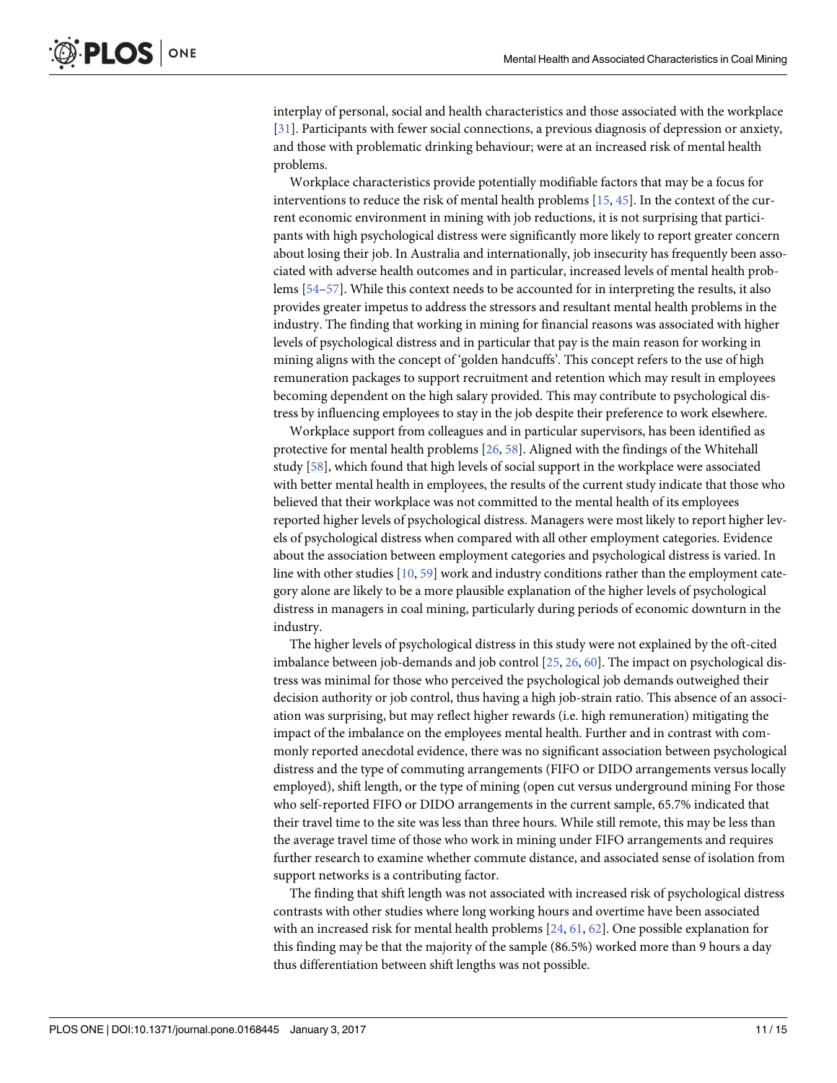<span id="page-10-0"></span>interplay of personal, social and health characteristics and those associated with the workplace [\[31\]](#page-13-0). Participants with fewer social connections, a previous diagnosis of depression or anxiety, and those with problematic drinking behaviour; were at an increased risk of mental health problems.

Workplace characteristics provide potentially modifiable factors that may be a focus for interventions to reduce the risk of mental health problems [[15](#page-12-0), [45](#page-14-0)]. In the context of the current economic environment in mining with job reductions, it is not surprising that participants with high psychological distress were significantly more likely to report greater concern about losing their job. In Australia and internationally, job insecurity has frequently been associated with adverse health outcomes and in particular, increased levels of mental health problems [\[54–57](#page-14-0)]. While this context needs to be accounted for in interpreting the results, it also provides greater impetus to address the stressors and resultant mental health problems in the industry. The finding that working in mining for financial reasons was associated with higher levels of psychological distress and in particular that pay is the main reason for working in mining aligns with the concept of 'golden handcuffs'. This concept refers to the use of high remuneration packages to support recruitment and retention which may result in employees becoming dependent on the high salary provided. This may contribute to psychological distress by influencing employees to stay in the job despite their preference to work elsewhere.

Workplace support from colleagues and in particular supervisors, has been identified as protective for mental health problems [[26](#page-13-0), [58](#page-14-0)]. Aligned with the findings of the Whitehall study [\[58\]](#page-14-0), which found that high levels of social support in the workplace were associated with better mental health in employees, the results of the current study indicate that those who believed that their workplace was not committed to the mental health of its employees reported higher levels of psychological distress. Managers were most likely to report higher levels of psychological distress when compared with all other employment categories. Evidence about the association between employment categories and psychological distress is varied. In line with other studies [\[10,](#page-12-0) [59\]](#page-14-0) work and industry conditions rather than the employment category alone are likely to be a more plausible explanation of the higher levels of psychological distress in managers in coal mining, particularly during periods of economic downturn in the industry.

The higher levels of psychological distress in this study were not explained by the oft-cited imbalance between job-demands and job control [[25](#page-13-0), [26](#page-13-0), [60](#page-14-0)]. The impact on psychological distress was minimal for those who perceived the psychological job demands outweighed their decision authority or job control, thus having a high job-strain ratio. This absence of an association was surprising, but may reflect higher rewards (i.e. high remuneration) mitigating the impact of the imbalance on the employees mental health. Further and in contrast with commonly reported anecdotal evidence, there was no significant association between psychological distress and the type of commuting arrangements (FIFO or DIDO arrangements versus locally employed), shift length, or the type of mining (open cut versus underground mining For those who self-reported FIFO or DIDO arrangements in the current sample, 65.7% indicated that their travel time to the site was less than three hours. While still remote, this may be less than the average travel time of those who work in mining under FIFO arrangements and requires further research to examine whether commute distance, and associated sense of isolation from support networks is a contributing factor.

The finding that shift length was not associated with increased risk of psychological distress contrasts with other studies where long working hours and overtime have been associated with an increased risk for mental health problems [[24](#page-13-0), [61](#page-14-0), [62](#page-14-0)]. One possible explanation for this finding may be that the majority of the sample (86.5%) worked more than 9 hours a day thus differentiation between shift lengths was not possible.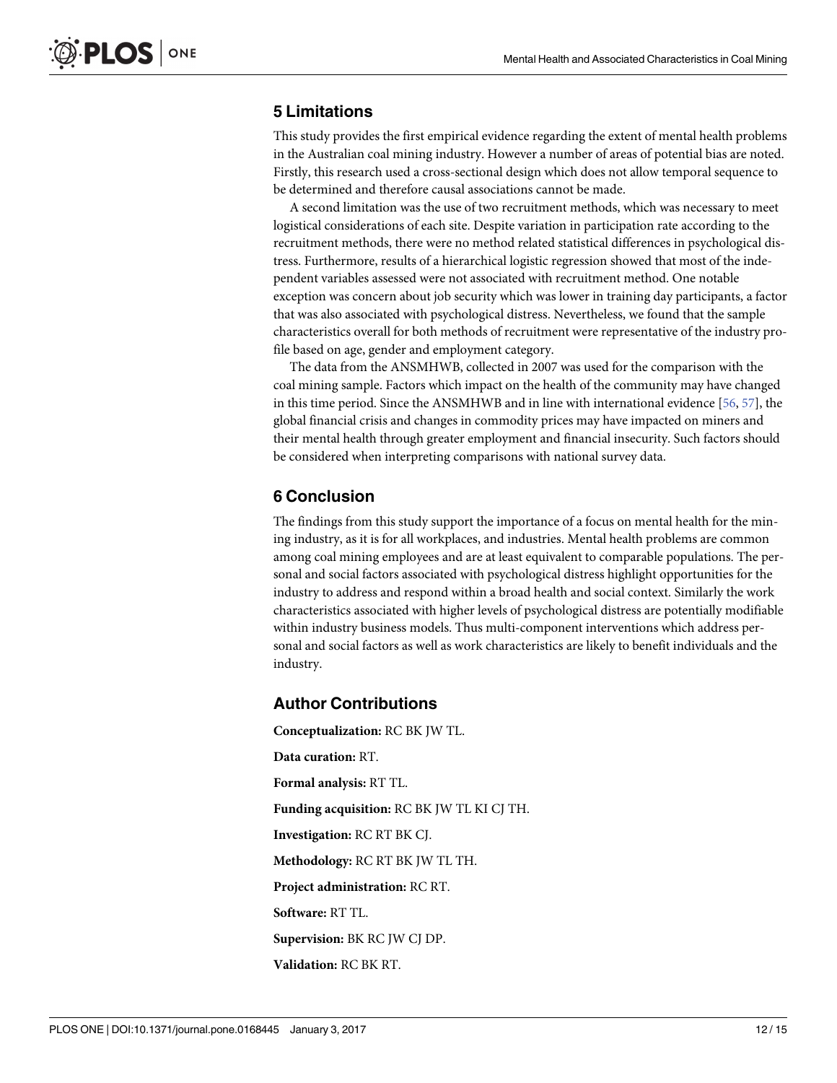# <span id="page-11-0"></span>**5 Limitations**

This study provides the first empirical evidence regarding the extent of mental health problems in the Australian coal mining industry. However a number of areas of potential bias are noted. Firstly, this research used a cross-sectional design which does not allow temporal sequence to be determined and therefore causal associations cannot be made.

A second limitation was the use of two recruitment methods, which was necessary to meet logistical considerations of each site. Despite variation in participation rate according to the recruitment methods, there were no method related statistical differences in psychological distress. Furthermore, results of a hierarchical logistic regression showed that most of the independent variables assessed were not associated with recruitment method. One notable exception was concern about job security which was lower in training day participants, a factor that was also associated with psychological distress. Nevertheless, we found that the sample characteristics overall for both methods of recruitment were representative of the industry profile based on age, gender and employment category.

The data from the ANSMHWB, collected in 2007 was used for the comparison with the coal mining sample. Factors which impact on the health of the community may have changed in this time period. Since the ANSMHWB and in line with international evidence [[56](#page-14-0), [57](#page-14-0)], the global financial crisis and changes in commodity prices may have impacted on miners and their mental health through greater employment and financial insecurity. Such factors should be considered when interpreting comparisons with national survey data.

# **6 Conclusion**

The findings from this study support the importance of a focus on mental health for the mining industry, as it is for all workplaces, and industries. Mental health problems are common among coal mining employees and are at least equivalent to comparable populations. The personal and social factors associated with psychological distress highlight opportunities for the industry to address and respond within a broad health and social context. Similarly the work characteristics associated with higher levels of psychological distress are potentially modifiable within industry business models. Thus multi-component interventions which address personal and social factors as well as work characteristics are likely to benefit individuals and the industry.

## **Author Contributions**

**Conceptualization:** RC BK JW TL. **Data curation:** RT. **Formal analysis:** RT TL. **Funding acquisition:** RC BK JW TL KI CJ TH. **Investigation:** RC RT BK CJ. **Methodology:** RC RT BK JW TL TH. **Project administration:** RC RT. **Software:** RT TL. **Supervision:** BK RC JW CJ DP. **Validation:** RC BK RT.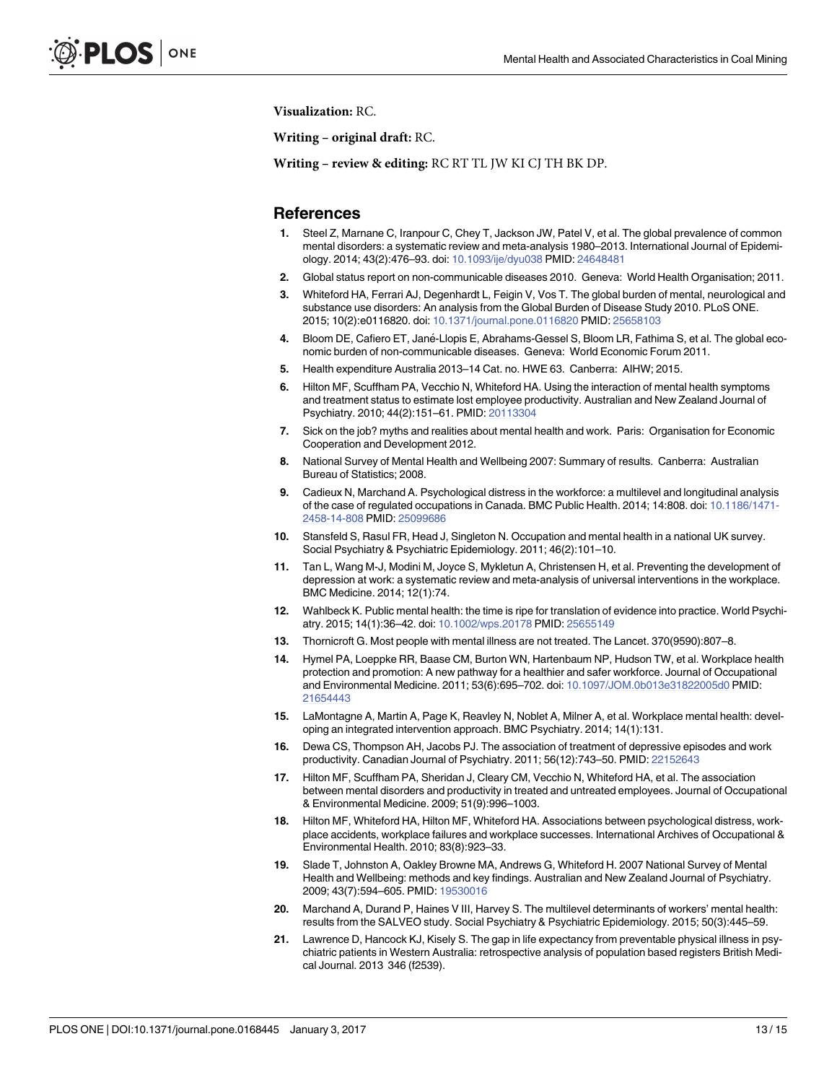<span id="page-12-0"></span>**Visualization:** RC.

**Writing – original draft:** RC.

**Writing – review & editing:** RC RT TL JW KI CJ TH BK DP.

#### **References**

- **[1](#page-1-0).** Steel Z, Marnane C, Iranpour C, Chey T, Jackson JW, Patel V, et al. The global prevalence of common mental disorders: a systematic review and meta-analysis 1980–2013. International Journal of Epidemiology. 2014; 43(2):476–93. doi: [10.1093/ije/dyu038](http://dx.doi.org/10.1093/ije/dyu038) PMID: [24648481](http://www.ncbi.nlm.nih.gov/pubmed/24648481)
- **2.** Global status report on non-communicable diseases 2010. Geneva: World Health Organisation; 2011.
- **[3](#page-1-0).** Whiteford HA, Ferrari AJ, Degenhardt L, Feigin V, Vos T. The global burden of mental, neurological and substance use disorders: An analysis from the Global Burden of Disease Study 2010. PLoS ONE. 2015; 10(2):e0116820. doi: [10.1371/journal.pone.0116820](http://dx.doi.org/10.1371/journal.pone.0116820) PMID: [25658103](http://www.ncbi.nlm.nih.gov/pubmed/25658103)
- **[4](#page-1-0).** Bloom DE, Cafiero ET, Jane´-Llopis E, Abrahams-Gessel S, Bloom LR, Fathima S, et al. The global economic burden of non-communicable diseases. Geneva: World Economic Forum 2011.
- **[5](#page-1-0).** Health expenditure Australia 2013–14 Cat. no. HWE 63. Canberra: AIHW; 2015.
- **[6](#page-1-0).** Hilton MF, Scuffham PA, Vecchio N, Whiteford HA. Using the interaction of mental health symptoms and treatment status to estimate lost employee productivity. Australian and New Zealand Journal of Psychiatry. 2010; 44(2):151–61. PMID: [20113304](http://www.ncbi.nlm.nih.gov/pubmed/20113304)
- **[7](#page-1-0).** Sick on the job? myths and realities about mental health and work. Paris: Organisation for Economic Cooperation and Development 2012.
- **[8](#page-1-0).** National Survey of Mental Health and Wellbeing 2007: Summary of results. Canberra: Australian Bureau of Statistics; 2008.
- **9.** Cadieux N, Marchand A. Psychological distress in the workforce: a multilevel and longitudinal analysis of the case of regulated occupations in Canada. BMC Public Health. 2014; 14:808. doi: [10.1186/1471-](http://dx.doi.org/10.1186/1471-2458-14-808) [2458-14-808](http://dx.doi.org/10.1186/1471-2458-14-808) PMID: [25099686](http://www.ncbi.nlm.nih.gov/pubmed/25099686)
- **[10](#page-1-0).** Stansfeld S, Rasul FR, Head J, Singleton N. Occupation and mental health in a national UK survey. Social Psychiatry & Psychiatric Epidemiology. 2011; 46(2):101–10.
- **[11](#page-1-0).** Tan L, Wang M-J, Modini M, Joyce S, Mykletun A, Christensen H, et al. Preventing the development of depression at work: a systematic review and meta-analysis of universal interventions in the workplace. BMC Medicine. 2014; 12(1):74.
- **[12](#page-1-0).** Wahlbeck K. Public mental health: the time is ripe for translation of evidence into practice. World Psychiatry. 2015; 14(1):36–42. doi: [10.1002/wps.20178](http://dx.doi.org/10.1002/wps.20178) PMID: [25655149](http://www.ncbi.nlm.nih.gov/pubmed/25655149)
- **[13](#page-1-0).** Thornicroft G. Most people with mental illness are not treated. The Lancet. 370(9590):807–8.
- **[14](#page-1-0).** Hymel PA, Loeppke RR, Baase CM, Burton WN, Hartenbaum NP, Hudson TW, et al. Workplace health protection and promotion: A new pathway for a healthier and safer workforce. Journal of Occupational and Environmental Medicine. 2011; 53(6):695–702. doi: [10.1097/JOM.0b013e31822005d0](http://dx.doi.org/10.1097/JOM.0b013e31822005d0) PMID: [21654443](http://www.ncbi.nlm.nih.gov/pubmed/21654443)
- **[15](#page-1-0).** LaMontagne A, Martin A, Page K, Reavley N, Noblet A, Milner A, et al. Workplace mental health: developing an integrated intervention approach. BMC Psychiatry. 2014; 14(1):131.
- **[16](#page-1-0).** Dewa CS, Thompson AH, Jacobs PJ. The association of treatment of depressive episodes and work productivity. Canadian Journal of Psychiatry. 2011; 56(12):743–50. PMID: [22152643](http://www.ncbi.nlm.nih.gov/pubmed/22152643)
- **17.** Hilton MF, Scuffham PA, Sheridan J, Cleary CM, Vecchio N, Whiteford HA, et al. The association between mental disorders and productivity in treated and untreated employees. Journal of Occupational & Environmental Medicine. 2009; 51(9):996–1003.
- **[18](#page-1-0).** Hilton MF, Whiteford HA, Hilton MF, Whiteford HA. Associations between psychological distress, workplace accidents, workplace failures and workplace successes. International Archives of Occupational & Environmental Health. 2010; 83(8):923–33.
- **[19](#page-1-0).** Slade T, Johnston A, Oakley Browne MA, Andrews G, Whiteford H. 2007 National Survey of Mental Health and Wellbeing: methods and key findings. Australian and New Zealand Journal of Psychiatry. 2009; 43(7):594–605. PMID: [19530016](http://www.ncbi.nlm.nih.gov/pubmed/19530016)
- **[20](#page-1-0).** Marchand A, Durand P, Haines V III, Harvey S. The multilevel determinants of workers' mental health: results from the SALVEO study. Social Psychiatry & Psychiatric Epidemiology. 2015; 50(3):445–59.
- **[21](#page-1-0).** Lawrence D, Hancock KJ, Kisely S. The gap in life expectancy from preventable physical illness in psychiatric patients in Western Australia: retrospective analysis of population based registers British Medical Journal. 2013 346 (f2539).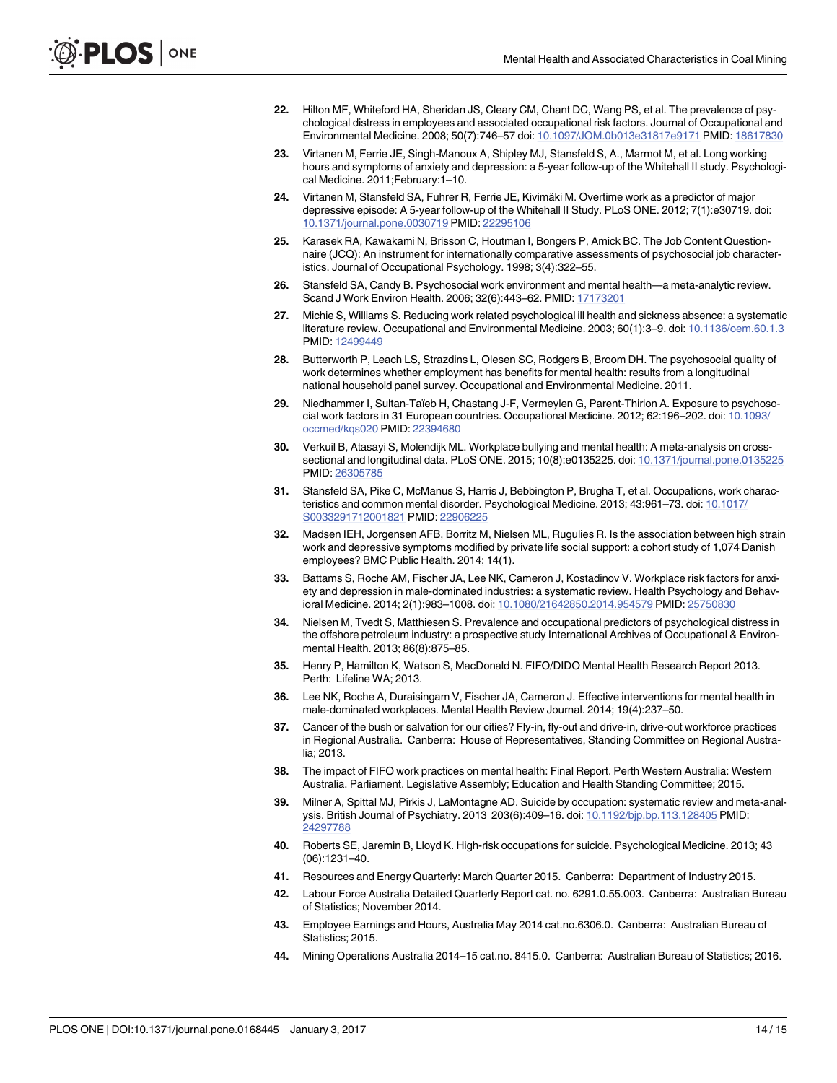- <span id="page-13-0"></span>**[22](#page-2-0).** Hilton MF, Whiteford HA, Sheridan JS, Cleary CM, Chant DC, Wang PS, et al. The prevalence of psychological distress in employees and associated occupational risk factors. Journal of Occupational and Environmental Medicine. 2008; 50(7):746–57 doi: [10.1097/JOM.0b013e31817e9171](http://dx.doi.org/10.1097/JOM.0b013e31817e9171) PMID: [18617830](http://www.ncbi.nlm.nih.gov/pubmed/18617830)
- **[23](#page-2-0).** Virtanen M, Ferrie JE, Singh-Manoux A, Shipley MJ, Stansfeld S, A., Marmot M, et al. Long working hours and symptoms of anxiety and depression: a 5-year follow-up of the Whitehall II study. Psychological Medicine. 2011;February:1–10.
- **[24](#page-2-0).** Virtanen M, Stansfeld SA, Fuhrer R, Ferrie JE, Kivimäki M. Overtime work as a predictor of major depressive episode: A 5-year follow-up of the Whitehall II Study. PLoS ONE. 2012; 7(1):e30719. doi: [10.1371/journal.pone.0030719](http://dx.doi.org/10.1371/journal.pone.0030719) PMID: [22295106](http://www.ncbi.nlm.nih.gov/pubmed/22295106)
- **[25](#page-2-0).** Karasek RA, Kawakami N, Brisson C, Houtman I, Bongers P, Amick BC. The Job Content Questionnaire (JCQ): An instrument for internationally comparative assessments of psychosocial job characteristics. Journal of Occupational Psychology. 1998; 3(4):322–55.
- **[26](#page-2-0).** Stansfeld SA, Candy B. Psychosocial work environment and mental health—a meta-analytic review. Scand J Work Environ Health. 2006; 32(6):443–62. PMID: [17173201](http://www.ncbi.nlm.nih.gov/pubmed/17173201)
- **27.** Michie S, Williams S. Reducing work related psychological ill health and sickness absence: a systematic literature review. Occupational and Environmental Medicine. 2003; 60(1):3–9. doi: [10.1136/oem.60.1.3](http://dx.doi.org/10.1136/oem.60.1.3) PMID: [12499449](http://www.ncbi.nlm.nih.gov/pubmed/12499449)
- **[28](#page-2-0).** Butterworth P, Leach LS, Strazdins L, Olesen SC, Rodgers B, Broom DH. The psychosocial quality of work determines whether employment has benefits for mental health: results from a longitudinal national household panel survey. Occupational and Environmental Medicine. 2011.
- **[29](#page-2-0).** Niedhammer I, Sultan-Taïeb H, Chastang J-F, Vermeylen G, Parent-Thirion A. Exposure to psychosocial work factors in 31 European countries. Occupational Medicine. 2012; 62:196–202. doi: [10.1093/](http://dx.doi.org/10.1093/occmed/kqs020) [occmed/kqs020](http://dx.doi.org/10.1093/occmed/kqs020) PMID: [22394680](http://www.ncbi.nlm.nih.gov/pubmed/22394680)
- **[30](#page-2-0).** Verkuil B, Atasayi S, Molendijk ML. Workplace bullying and mental health: A meta-analysis on crosssectional and longitudinal data. PLoS ONE. 2015; 10(8):e0135225. doi: [10.1371/journal.pone.0135225](http://dx.doi.org/10.1371/journal.pone.0135225) PMID: [26305785](http://www.ncbi.nlm.nih.gov/pubmed/26305785)
- **[31](#page-2-0).** Stansfeld SA, Pike C, McManus S, Harris J, Bebbington P, Brugha T, et al. Occupations, work characteristics and common mental disorder. Psychological Medicine. 2013; 43:961–73. doi: [10.1017/](http://dx.doi.org/10.1017/S0033291712001821) [S0033291712001821](http://dx.doi.org/10.1017/S0033291712001821) PMID: [22906225](http://www.ncbi.nlm.nih.gov/pubmed/22906225)
- **[32](#page-2-0).** Madsen IEH, Jorgensen AFB, Borritz M, Nielsen ML, Rugulies R. Is the association between high strain work and depressive symptoms modified by private life social support: a cohort study of 1,074 Danish employees? BMC Public Health. 2014; 14(1).
- **[33](#page-2-0).** Battams S, Roche AM, Fischer JA, Lee NK, Cameron J, Kostadinov V. Workplace risk factors for anxiety and depression in male-dominated industries: a systematic review. Health Psychology and Behavioral Medicine. 2014; 2(1):983–1008. doi: [10.1080/21642850.2014.954579](http://dx.doi.org/10.1080/21642850.2014.954579) PMID: [25750830](http://www.ncbi.nlm.nih.gov/pubmed/25750830)
- **[34](#page-2-0).** Nielsen M, Tvedt S, Matthiesen S. Prevalence and occupational predictors of psychological distress in the offshore petroleum industry: a prospective study International Archives of Occupational & Environmental Health. 2013; 86(8):875–85.
- **[35](#page-2-0).** Henry P, Hamilton K, Watson S, MacDonald N. FIFO/DIDO Mental Health Research Report 2013. Perth: Lifeline WA; 2013.
- **[36](#page-2-0).** Lee NK, Roche A, Duraisingam V, Fischer JA, Cameron J. Effective interventions for mental health in male-dominated workplaces. Mental Health Review Journal. 2014; 19(4):237–50.
- **[37](#page-2-0).** Cancer of the bush or salvation for our cities? Fly-in, fly-out and drive-in, drive-out workforce practices in Regional Australia. Canberra: House of Representatives, Standing Committee on Regional Australia; 2013.
- **[38](#page-2-0).** The impact of FIFO work practices on mental health: Final Report. Perth Western Australia: Western Australia. Parliament. Legislative Assembly; Education and Health Standing Committee; 2015.
- **[39](#page-2-0).** Milner A, Spittal MJ, Pirkis J, LaMontagne AD. Suicide by occupation: systematic review and meta-analysis. British Journal of Psychiatry. 2013 203(6):409–16. doi: [10.1192/bjp.bp.113.128405](http://dx.doi.org/10.1192/bjp.bp.113.128405) PMID: [24297788](http://www.ncbi.nlm.nih.gov/pubmed/24297788)
- **[40](#page-2-0).** Roberts SE, Jaremin B, Lloyd K. High-risk occupations for suicide. Psychological Medicine. 2013; 43 (06):1231–40.
- **[41](#page-2-0).** Resources and Energy Quarterly: March Quarter 2015. Canberra: Department of Industry 2015.
- **[42](#page-2-0).** Labour Force Australia Detailed Quarterly Report cat. no. 6291.0.55.003. Canberra: Australian Bureau of Statistics; November 2014.
- **[43](#page-2-0).** Employee Earnings and Hours, Australia May 2014 cat.no.6306.0. Canberra: Australian Bureau of Statistics; 2015.
- **[44](#page-2-0).** Mining Operations Australia 2014–15 cat.no. 8415.0. Canberra: Australian Bureau of Statistics; 2016.